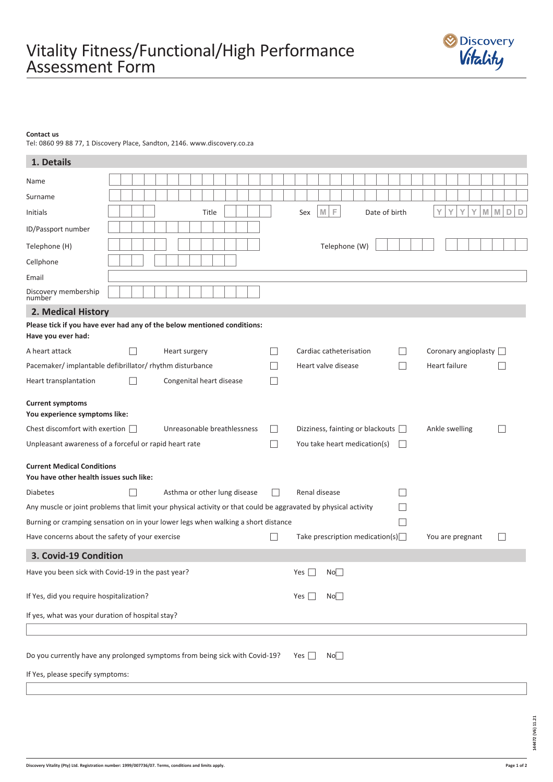## **Contact us**

Tel: 0860 99 88 77, 1 Discovery Place, Sandton, 2146. www.discovery.co.za

| 1. Details                                                                                    |                                                        |  |              |  |  |  |  |  |       |  |                              |  |        |        |                                                                                                                 |                         |                                         |   |                 |  |               |  |        |                          |               |  |                |               |   |   |                  |                             |         |                          |              |        |
|-----------------------------------------------------------------------------------------------|--------------------------------------------------------|--|--------------|--|--|--|--|--|-------|--|------------------------------|--|--------|--------|-----------------------------------------------------------------------------------------------------------------|-------------------------|-----------------------------------------|---|-----------------|--|---------------|--|--------|--------------------------|---------------|--|----------------|---------------|---|---|------------------|-----------------------------|---------|--------------------------|--------------|--------|
| Name                                                                                          |                                                        |  |              |  |  |  |  |  |       |  |                              |  |        |        |                                                                                                                 |                         |                                         |   |                 |  |               |  |        |                          |               |  |                |               |   |   |                  |                             |         |                          |              |        |
| Surname                                                                                       |                                                        |  |              |  |  |  |  |  |       |  |                              |  |        |        |                                                                                                                 |                         |                                         |   |                 |  |               |  |        |                          |               |  |                |               |   |   |                  |                             |         |                          |              |        |
| <b>Initials</b>                                                                               |                                                        |  |              |  |  |  |  |  | Title |  |                              |  |        |        |                                                                                                                 |                         | Sex                                     | M | F.              |  |               |  |        |                          | Date of birth |  |                |               | Υ | Y | Υ                | Υ                           | $M$ $M$ |                          | $\mathbb{D}$ | $\Box$ |
| ID/Passport number                                                                            |                                                        |  |              |  |  |  |  |  |       |  |                              |  |        |        |                                                                                                                 |                         |                                         |   |                 |  |               |  |        |                          |               |  |                |               |   |   |                  |                             |         |                          |              |        |
| Telephone (H)                                                                                 |                                                        |  |              |  |  |  |  |  |       |  |                              |  |        |        |                                                                                                                 |                         |                                         |   |                 |  | Telephone (W) |  |        |                          |               |  |                |               |   |   |                  |                             |         |                          |              |        |
| Cellphone                                                                                     |                                                        |  |              |  |  |  |  |  |       |  |                              |  |        |        |                                                                                                                 |                         |                                         |   |                 |  |               |  |        |                          |               |  |                |               |   |   |                  |                             |         |                          |              |        |
| Email                                                                                         |                                                        |  |              |  |  |  |  |  |       |  |                              |  |        |        |                                                                                                                 |                         |                                         |   |                 |  |               |  |        |                          |               |  |                |               |   |   |                  |                             |         |                          |              |        |
| Discovery membership<br>number                                                                |                                                        |  |              |  |  |  |  |  |       |  |                              |  |        |        |                                                                                                                 |                         |                                         |   |                 |  |               |  |        |                          |               |  |                |               |   |   |                  |                             |         |                          |              |        |
| 2. Medical History                                                                            |                                                        |  |              |  |  |  |  |  |       |  |                              |  |        |        |                                                                                                                 |                         |                                         |   |                 |  |               |  |        |                          |               |  |                |               |   |   |                  |                             |         |                          |              |        |
| Please tick if you have ever had any of the below mentioned conditions:<br>Have you ever had: |                                                        |  |              |  |  |  |  |  |       |  |                              |  |        |        |                                                                                                                 |                         |                                         |   |                 |  |               |  |        |                          |               |  |                |               |   |   |                  |                             |         |                          |              |        |
| A heart attack                                                                                | Heart surgery                                          |  |              |  |  |  |  |  |       |  |                              |  |        | $\Box$ |                                                                                                                 | Cardiac catheterisation |                                         |   |                 |  |               |  |        | $\overline{\phantom{a}}$ |               |  |                |               |   |   |                  | Coronary angioplasty $\Box$ |         |                          |              |        |
|                                                                                               | Pacemaker/implantable defibrillator/rhythm disturbance |  |              |  |  |  |  |  |       |  |                              |  | $\Box$ |        | Heart valve disease                                                                                             |                         |                                         |   |                 |  |               |  | $\Box$ |                          |               |  |                | Heart failure |   |   |                  |                             |         |                          |              |        |
| Heart transplantation                                                                         | Congenital heart disease                               |  |              |  |  |  |  |  |       |  | $\Box$                       |  |        |        |                                                                                                                 |                         |                                         |   |                 |  |               |  |        |                          |               |  |                |               |   |   |                  |                             |         |                          |              |        |
| <b>Current symptoms</b><br>You experience symptoms like:                                      |                                                        |  |              |  |  |  |  |  |       |  |                              |  |        |        |                                                                                                                 |                         |                                         |   |                 |  |               |  |        |                          |               |  |                |               |   |   |                  |                             |         |                          |              |        |
| Chest discomfort with exertion $\Box$                                                         |                                                        |  |              |  |  |  |  |  |       |  | Unreasonable breathlessness  |  |        |        | $\vert \ \ \vert$                                                                                               |                         | Dizziness, fainting or blackouts $\Box$ |   |                 |  |               |  |        |                          |               |  | Ankle swelling |               |   |   |                  |                             |         |                          |              |        |
| Unpleasant awareness of a forceful or rapid heart rate                                        |                                                        |  |              |  |  |  |  |  |       |  |                              |  |        |        | П                                                                                                               |                         | You take heart medication(s)            |   |                 |  |               |  |        |                          |               |  |                |               |   |   |                  |                             |         |                          |              |        |
| <b>Current Medical Conditions</b><br>You have other health issues such like:                  |                                                        |  |              |  |  |  |  |  |       |  |                              |  |        |        |                                                                                                                 |                         |                                         |   |                 |  |               |  |        |                          |               |  |                |               |   |   |                  |                             |         |                          |              |        |
| <b>Diabetes</b>                                                                               |                                                        |  | $\mathsf{L}$ |  |  |  |  |  |       |  | Asthma or other lung disease |  |        |        | $\perp$                                                                                                         |                         | Renal disease                           |   |                 |  |               |  |        |                          |               |  |                |               |   |   |                  |                             |         |                          |              |        |
|                                                                                               |                                                        |  |              |  |  |  |  |  |       |  |                              |  |        |        | Any muscle or joint problems that limit your physical activity or that could be aggravated by physical activity |                         |                                         |   |                 |  |               |  |        |                          |               |  |                |               |   |   |                  |                             |         |                          |              |        |
| Burning or cramping sensation on in your lower legs when walking a short distance             |                                                        |  |              |  |  |  |  |  |       |  |                              |  |        |        |                                                                                                                 |                         |                                         |   |                 |  |               |  |        |                          |               |  |                |               |   |   |                  |                             |         |                          |              |        |
| Have concerns about the safety of your exercise                                               |                                                        |  |              |  |  |  |  |  |       |  |                              |  |        |        |                                                                                                                 |                         | Take prescription medication(s) $\Box$  |   |                 |  |               |  |        |                          |               |  |                |               |   |   | You are pregnant |                             |         | $\overline{\phantom{a}}$ |              |        |
| 3. Covid-19 Condition                                                                         |                                                        |  |              |  |  |  |  |  |       |  |                              |  |        |        |                                                                                                                 |                         |                                         |   |                 |  |               |  |        |                          |               |  |                |               |   |   |                  |                             |         |                          |              |        |
|                                                                                               | Have you been sick with Covid-19 in the past year?     |  |              |  |  |  |  |  |       |  |                              |  |        |        |                                                                                                                 | Yes $\Box$ No $\Box$    |                                         |   |                 |  |               |  |        |                          |               |  |                |               |   |   |                  |                             |         |                          |              |        |
| If Yes, did you require hospitalization?                                                      |                                                        |  |              |  |  |  |  |  |       |  |                              |  |        |        |                                                                                                                 | No<br>Yes $\Box$        |                                         |   |                 |  |               |  |        |                          |               |  |                |               |   |   |                  |                             |         |                          |              |        |
| If yes, what was your duration of hospital stay?                                              |                                                        |  |              |  |  |  |  |  |       |  |                              |  |        |        |                                                                                                                 |                         |                                         |   |                 |  |               |  |        |                          |               |  |                |               |   |   |                  |                             |         |                          |              |        |
|                                                                                               |                                                        |  |              |  |  |  |  |  |       |  |                              |  |        |        |                                                                                                                 |                         |                                         |   |                 |  |               |  |        |                          |               |  |                |               |   |   |                  |                             |         |                          |              |        |
| Do you currently have any prolonged symptoms from being sick with Covid-19?                   |                                                        |  |              |  |  |  |  |  |       |  |                              |  |        |        |                                                                                                                 |                         | Yes $\Box$                              |   | No <sub>1</sub> |  |               |  |        |                          |               |  |                |               |   |   |                  |                             |         |                          |              |        |
| If Yes, please specify symptoms:                                                              |                                                        |  |              |  |  |  |  |  |       |  |                              |  |        |        |                                                                                                                 |                         |                                         |   |                 |  |               |  |        |                          |               |  |                |               |   |   |                  |                             |         |                          |              |        |

**144472 (V6) 11.21** 

144472 (V6) 11.21